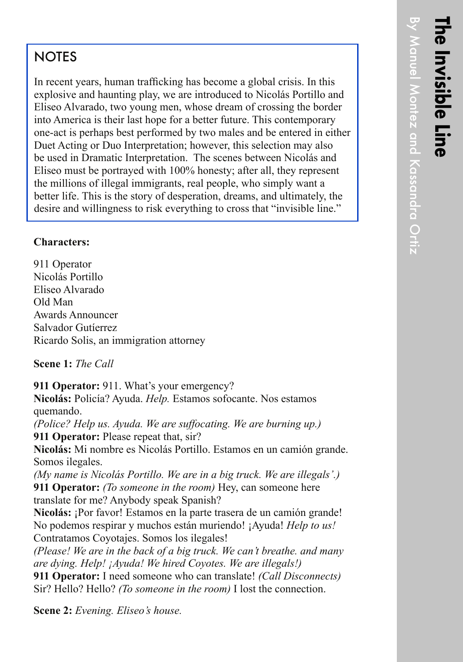## **NOTES**

In recent years, human trafficking has become a global crisis. In this explosive and haunting play, we are introduced to Nicolás Portillo and Eliseo Alvarado, two young men, whose dream of crossing the border into America is their last hope for a better future. This contemporary one-act is perhaps best performed by two males and be entered in either Duet Acting or Duo Interpretation; however, this selection may also be used in Dramatic Interpretation. The scenes between Nicolás and Eliseo must be portrayed with 100% honesty; after all, they represent the millions of illegal immigrants, real people, who simply want a better life. This is the story of desperation, dreams, and ultimately, the desire and willingness to risk everything to cross that "invisible line."

## **Characters:**

911 Operator Nicolás Portillo Eliseo Alvarado Old Man Awards Announcer Salvador Gutíerrez Ricardo Solis, an immigration attorney

## **Scene 1:** *The Call*

**911 Operator:** 911. What's your emergency?

**Nicolás:** Policía? Ayuda. *Help.* Estamos sofocante. Nos estamos quemando.

*(Police? Help us. Ayuda. We are suffocating. We are burning up.)* **911 Operator:** Please repeat that, sir?

**Nicolás:** Mi nombre es Nicolás Portillo. Estamos en un camión grande. Somos ilegales.

*(My name is Nicolás Portillo. We are in a big truck. We are illegals'.)* **911 Operator:** *(To someone in the room)* Hey, can someone here translate for me? Anybody speak Spanish?

**Nicolás:** ¡Por favor! Estamos en la parte trasera de un camión grande! No podemos respirar y muchos están muriendo! ¡Ayuda! *Help to us!* Contratamos Coyotajes. Somos los ilegales!

*(Please! We are in the back of a big truck. We can't breathe. and many are dying. Help! ¡Ayuda! We hired Coyotes. We are illegals!)*

**911 Operator:** I need someone who can translate! *(Call Disconnects)* Sir? Hello? Hello? *(To someone in the room)* I lost the connection.

**Scene 2:** *Evening. Eliseo's house.*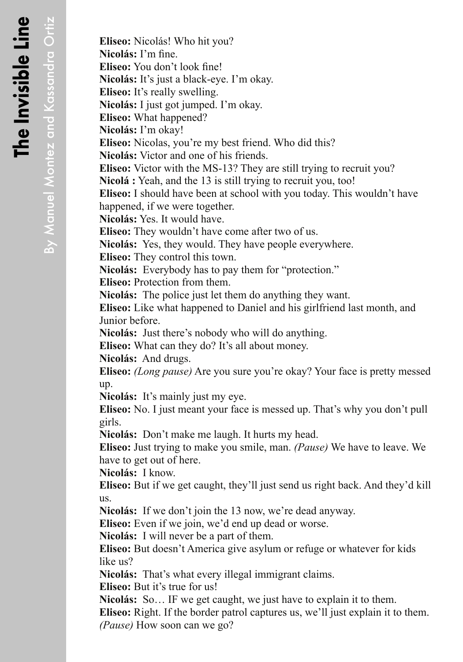By Manuel Montez and Kassandra Ortiz

By Manuel Montez and Kassandra Ortiz

**Eliseo:** Nicolás! Who hit you? **Nicolás:** I'm fine. **Eliseo:** You don't look fine! **Nicolás:** It's just a black-eye. I'm okay. **Eliseo:** It's really swelling. **Nicolás:** I just got jumped. I'm okay. **Eliseo:** What happened? **Nicolás:** I'm okay! **Eliseo:** Nicolas, you're my best friend. Who did this? **Nicolás:** Victor and one of his friends. **Eliseo:** Victor with the MS-13? They are still trying to recruit you? **Nicolá :** Yeah, and the 13 is still trying to recruit you, too! **Eliseo:** I should have been at school with you today. This wouldn't have happened, if we were together. **Nicolás:** Yes. It would have. **Eliseo:** They wouldn't have come after two of us. **Nicolás:** Yes, they would. They have people everywhere. **Eliseo:** They control this town. **Nicolás:** Everybody has to pay them for "protection." **Eliseo:** Protection from them. **Nicolás:** The police just let them do anything they want. **Eliseo:** Like what happened to Daniel and his girlfriend last month, and Junior before. **Nicolás:** Just there's nobody who will do anything. **Eliseo:** What can they do? It's all about money. **Nicolás:** And drugs. **Eliseo:** *(Long pause)* Are you sure you're okay? Your face is pretty messed up. **Nicolás:** It's mainly just my eye. **Eliseo:** No. I just meant your face is messed up. That's why you don't pull girls. **Nicolás:** Don't make me laugh. It hurts my head. **Eliseo:** Just trying to make you smile, man. *(Pause)* We have to leave. We have to get out of here. **Nicolás:** I know. **Eliseo:** But if we get caught, they'll just send us right back. And they'd kill us. **Nicolás:** If we don't join the 13 now, we're dead anyway. **Eliseo:** Even if we join, we'd end up dead or worse. **Nicolás:** I will never be a part of them. **Eliseo:** But doesn't America give asylum or refuge or whatever for kids like us? **Nicolás:** That's what every illegal immigrant claims. **Eliseo:** But it's true for us!

**Nicolás:** So… IF we get caught, we just have to explain it to them.

**Eliseo:** Right. If the border patrol captures us, we'll just explain it to them. *(Pause)* How soon can we go?